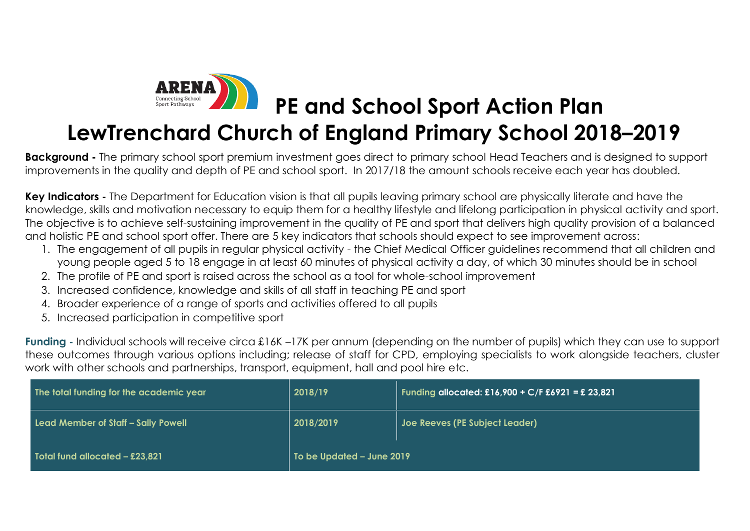

## **LewTrenchard Church of England Primary School 2018–2019**

**Background -** The primary school sport premium investment goes direct to primary school Head Teachers and is designed to support improvements in the quality and depth of PE and school sport. In 2017/18 the amount schools receive each year has doubled.

**Key Indicators -** The Department for Education vision is that all pupils leaving primary school are physically literate and have the knowledge, skills and motivation necessary to equip them for a healthy lifestyle and lifelong participation in physical activity and sport. The objective is to achieve self-sustaining improvement in the quality of PE and sport that delivers high quality provision of a balanced and holistic PE and school sport offer. There are 5 key indicators that schools should expect to see improvement across:

- 1. The engagement of all pupils in regular physical activity the Chief Medical Officer guidelines recommend that all children and young people aged 5 to 18 engage in at least 60 minutes of physical activity a day, of which 30 minutes should be in school
- 2. The profile of PE and sport is raised across the school as a tool for whole-school improvement
- 3. Increased confidence, knowledge and skills of all staff in teaching PE and sport
- 4. Broader experience of a range of sports and activities offered to all pupils
- 5. Increased participation in competitive sport

**Funding -** Individual schools will receive circa £16K –17K per annum (depending on the number of pupils) which they can use to support these outcomes through various options including; release of staff for CPD, employing specialists to work alongside teachers, cluster work with other schools and partnerships, transport, equipment, hall and pool hire etc.

| The total funding for the academic year | 2018/19                   | Funding allocated: £16,900 + C/F £6921 = £ 23,821 |
|-----------------------------------------|---------------------------|---------------------------------------------------|
| Lead Member of Staff - Sally Powell     | 2018/2019                 | Joe Reeves (PE Subject Leader)                    |
| Total fund allocated - £23,821          | To be Updated - June 2019 |                                                   |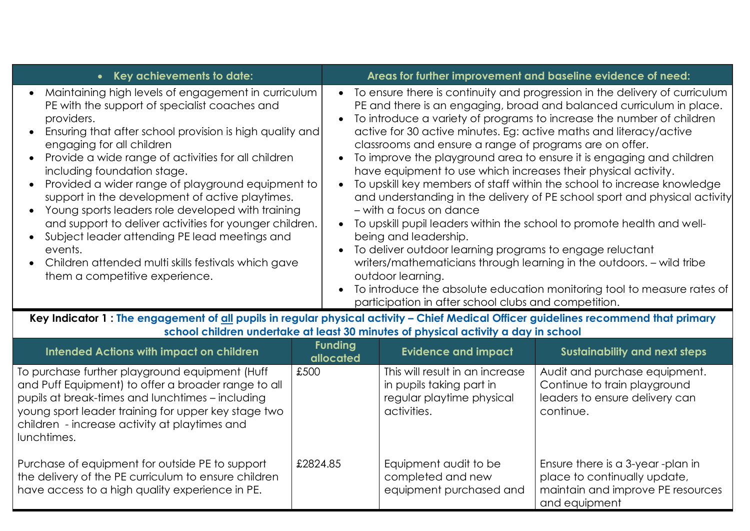| • Key achievements to date:                                                                                                                                                                                                                                                                                                                                                                                                                                                                                                                                                                                                                                                          | Areas for further improvement and baseline evidence of need:                                                                                                                                                                                                                                                                                                                                                                                                                                                                                                                                                                                                                                                                                                                                                                                                                                                                                                                                                                                                                                             |
|--------------------------------------------------------------------------------------------------------------------------------------------------------------------------------------------------------------------------------------------------------------------------------------------------------------------------------------------------------------------------------------------------------------------------------------------------------------------------------------------------------------------------------------------------------------------------------------------------------------------------------------------------------------------------------------|----------------------------------------------------------------------------------------------------------------------------------------------------------------------------------------------------------------------------------------------------------------------------------------------------------------------------------------------------------------------------------------------------------------------------------------------------------------------------------------------------------------------------------------------------------------------------------------------------------------------------------------------------------------------------------------------------------------------------------------------------------------------------------------------------------------------------------------------------------------------------------------------------------------------------------------------------------------------------------------------------------------------------------------------------------------------------------------------------------|
| Maintaining high levels of engagement in curriculum<br>PE with the support of specialist coaches and<br>providers.<br>Ensuring that after school provision is high quality and<br>engaging for all children<br>Provide a wide range of activities for all children<br>including foundation stage.<br>Provided a wider range of playground equipment to<br>support in the development of active playtimes.<br>• Young sports leaders role developed with training<br>and support to deliver activities for younger children.<br>• Subject leader attending PE lead meetings and<br>events.<br>• Children attended multi skills festivals which gave<br>them a competitive experience. | To ensure there is continuity and progression in the delivery of curriculum<br>$\bullet$<br>PE and there is an engaging, broad and balanced curriculum in place.<br>To introduce a variety of programs to increase the number of children<br>active for 30 active minutes. Eg: active maths and literacy/active<br>classrooms and ensure a range of programs are on offer.<br>To improve the playground area to ensure it is engaging and children<br>have equipment to use which increases their physical activity.<br>To upskill key members of staff within the school to increase knowledge<br>and understanding in the delivery of PE school sport and physical activity<br>- with a focus on dance<br>To upskill pupil leaders within the school to promote health and well-<br>being and leadership.<br>To deliver outdoor learning programs to engage reluctant<br>writers/mathematicians through learning in the outdoors. - wild tribe<br>outdoor learning.<br>To introduce the absolute education monitoring tool to measure rates of<br>participation in after school clubs and competition. |

Key Indicator 1 : The engagement of all pupils in regular physical activity – Chief Medical Officer guidelines recommend that primary **school children undertake at least 30 minutes of physical activity a day in school**

| <b>Intended Actions with impact on children</b>                                                                                                                                                                                                                                  | <b>Funding</b><br>allocated | <b>Evidence and impact</b>                                                                              | <b>Sustainability and next steps</b>                                                                                    |
|----------------------------------------------------------------------------------------------------------------------------------------------------------------------------------------------------------------------------------------------------------------------------------|-----------------------------|---------------------------------------------------------------------------------------------------------|-------------------------------------------------------------------------------------------------------------------------|
| To purchase further playground equipment (Huff<br>and Puff Equipment) to offer a broader range to all<br>pupils at break-times and lunchtimes - including<br>young sport leader training for upper key stage two<br>children - increase activity at playtimes and<br>lunchtimes. | £500                        | This will result in an increase<br>in pupils taking part in<br>regular playtime physical<br>activities. | Audit and purchase equipment.<br>Continue to train playground<br>leaders to ensure delivery can<br>continue.            |
| Purchase of equipment for outside PE to support<br>the delivery of the PE curriculum to ensure children<br>have access to a high quality experience in PE.                                                                                                                       | £2824.85                    | Equipment audit to be<br>completed and new<br>equipment purchased and                                   | Ensure there is a 3-year -plan in<br>place to continually update,<br>maintain and improve PE resources<br>and equipment |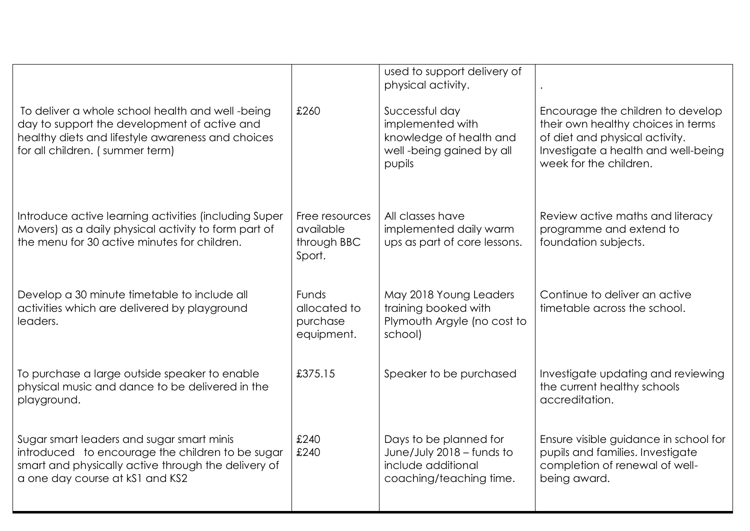|                                                                                                                                                                                          |                                                        | used to support delivery of<br>physical activity.                                                    |                                                                                                                                                                            |
|------------------------------------------------------------------------------------------------------------------------------------------------------------------------------------------|--------------------------------------------------------|------------------------------------------------------------------------------------------------------|----------------------------------------------------------------------------------------------------------------------------------------------------------------------------|
| To deliver a whole school health and well -being<br>day to support the development of active and<br>healthy diets and lifestyle awareness and choices<br>for all children. (summer term) | £260                                                   | Successful day<br>implemented with<br>knowledge of health and<br>well-being gained by all<br>pupils  | Encourage the children to develop<br>their own healthy choices in terms<br>of diet and physical activity.<br>Investigate a health and well-being<br>week for the children. |
| Introduce active learning activities (including Super<br>Movers) as a daily physical activity to form part of<br>the menu for 30 active minutes for children.                            | Free resources<br>available<br>through BBC<br>Sport.   | All classes have<br>implemented daily warm<br>ups as part of core lessons.                           | Review active maths and literacy<br>programme and extend to<br>foundation subjects.                                                                                        |
| Develop a 30 minute timetable to include all<br>activities which are delivered by playground<br>leaders.                                                                                 | <b>Funds</b><br>allocated to<br>purchase<br>equipment. | May 2018 Young Leaders<br>training booked with<br>Plymouth Argyle (no cost to<br>school)             | Continue to deliver an active<br>timetable across the school.                                                                                                              |
| To purchase a large outside speaker to enable<br>physical music and dance to be delivered in the<br>playground.                                                                          | £375.15                                                | Speaker to be purchased                                                                              | Investigate updating and reviewing<br>the current healthy schools<br>accreditation.                                                                                        |
| Sugar smart leaders and sugar smart minis<br>introduced to encourage the children to be sugar<br>smart and physically active through the delivery of<br>a one day course at kS1 and KS2  | £240<br>£240                                           | Days to be planned for<br>June/July 2018 - funds to<br>include additional<br>coaching/teaching time. | Ensure visible guidance in school for<br>pupils and families. Investigate<br>completion of renewal of well-<br>being award.                                                |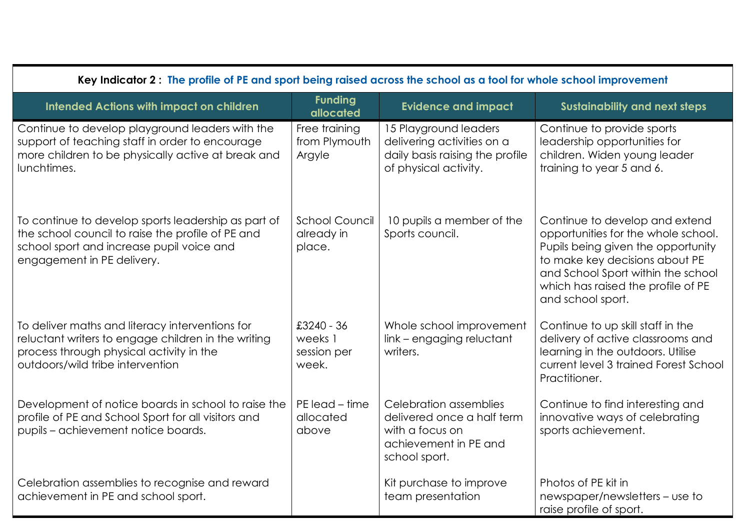| Key Indicator 2: The profile of PE and sport being raised across the school as a tool for whole school improvement                                                                     |                                               |                                                                                                                   |                                                                                                                                                                                                                                                |
|----------------------------------------------------------------------------------------------------------------------------------------------------------------------------------------|-----------------------------------------------|-------------------------------------------------------------------------------------------------------------------|------------------------------------------------------------------------------------------------------------------------------------------------------------------------------------------------------------------------------------------------|
| <b>Intended Actions with impact on children</b>                                                                                                                                        | <b>Funding</b><br>allocated                   | <b>Evidence and impact</b>                                                                                        | <b>Sustainability and next steps</b>                                                                                                                                                                                                           |
| Continue to develop playground leaders with the<br>support of teaching staff in order to encourage<br>more children to be physically active at break and<br>lunchtimes.                | Free training<br>from Plymouth<br>Argyle      | 15 Playground leaders<br>delivering activities on a<br>daily basis raising the profile<br>of physical activity.   | Continue to provide sports<br>leadership opportunities for<br>children. Widen young leader<br>training to year 5 and 6.                                                                                                                        |
| To continue to develop sports leadership as part of<br>the school council to raise the profile of PE and<br>school sport and increase pupil voice and<br>engagement in PE delivery.    | <b>School Council</b><br>already in<br>place. | 10 pupils a member of the<br>Sports council.                                                                      | Continue to develop and extend<br>opportunities for the whole school.<br>Pupils being given the opportunity<br>to make key decisions about PE<br>and School Sport within the school<br>which has raised the profile of PE<br>and school sport. |
| To deliver maths and literacy interventions for<br>reluctant writers to engage children in the writing<br>process through physical activity in the<br>outdoors/wild tribe intervention | £3240 - 36<br>weeks 1<br>session per<br>week. | Whole school improvement<br>link - engaging reluctant<br>writers.                                                 | Continue to up skill staff in the<br>delivery of active classrooms and<br>learning in the outdoors. Utilise<br>current level 3 trained Forest School<br>Practitioner.                                                                          |
| Development of notice boards in school to raise the<br>profile of PE and School Sport for all visitors and<br>pupils - achievement notice boards.                                      | PE lead - time<br>allocated<br>above          | Celebration assemblies<br>delivered once a half term<br>with a focus on<br>achievement in PE and<br>school sport. | Continue to find interesting and<br>innovative ways of celebrating<br>sports achievement.                                                                                                                                                      |
| Celebration assemblies to recognise and reward<br>achievement in PE and school sport.                                                                                                  |                                               | Kit purchase to improve<br>team presentation                                                                      | Photos of PE kit in<br>newspaper/newsletters – use to<br>raise profile of sport.                                                                                                                                                               |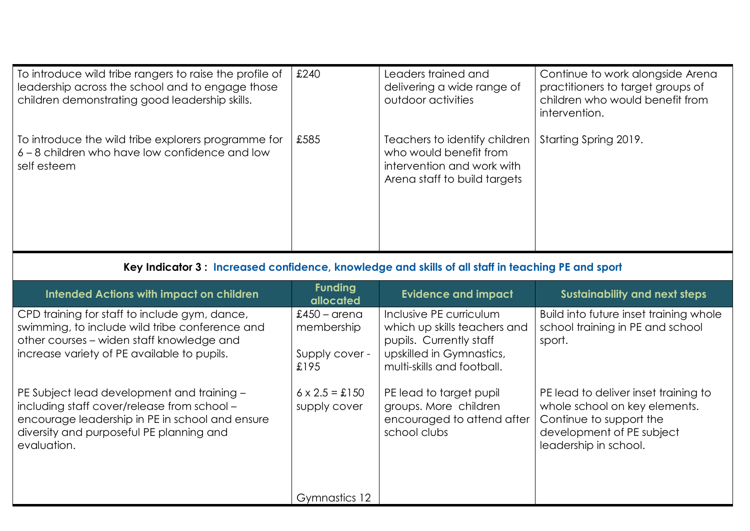| To introduce wild tribe rangers to raise the profile of<br>leadership across the school and to engage those<br>children demonstrating good leadership skills. | £240 | Leaders trained and<br>delivering a wide range of<br>outdoor activities                                               | Continue to work alongside Arena<br>practitioners to target groups of<br>children who would benefit from<br>intervention. |
|---------------------------------------------------------------------------------------------------------------------------------------------------------------|------|-----------------------------------------------------------------------------------------------------------------------|---------------------------------------------------------------------------------------------------------------------------|
| To introduce the wild tribe explorers programme for<br>6 – 8 children who have low confidence and low<br>self esteem                                          | £585 | Teachers to identify children<br>who would benefit from<br>intervention and work with<br>Arena staff to build targets | Starting Spring 2019.                                                                                                     |

## **Key Indicator 3 : Increased confidence, knowledge and skills of all staff in teaching PE and sport**

| Intended Actions with impact on children                                                                                                                                                                | <b>Funding</b><br>allocated                           | <b>Evidence and impact</b>                                                                                                                   | <b>Sustainability and next steps</b>                                                                                                                   |
|---------------------------------------------------------------------------------------------------------------------------------------------------------------------------------------------------------|-------------------------------------------------------|----------------------------------------------------------------------------------------------------------------------------------------------|--------------------------------------------------------------------------------------------------------------------------------------------------------|
| CPD training for staff to include gym, dance,<br>swimming, to include wild tribe conference and<br>other courses – widen staff knowledge and<br>increase variety of PE available to pupils.             | $£450 - area$<br>membership<br>Supply cover -<br>£195 | Inclusive PE curriculum<br>which up skills teachers and<br>pupils. Currently staff<br>upskilled in Gymnastics,<br>multi-skills and football. | Build into future inset training whole<br>school training in PE and school<br>sport.                                                                   |
| PE Subject lead development and training -<br>including staff cover/release from school -<br>encourage leadership in PE in school and ensure<br>diversity and purposeful PE planning and<br>evaluation. | $6 \times 2.5 = \pounds 150$<br>supply cover          | PE lead to target pupil<br>groups. More children<br>encouraged to attend after<br>school clubs                                               | PE lead to deliver inset training to<br>whole school on key elements.<br>Continue to support the<br>development of PE subject<br>leadership in school. |
|                                                                                                                                                                                                         | Gymnastics 12                                         |                                                                                                                                              |                                                                                                                                                        |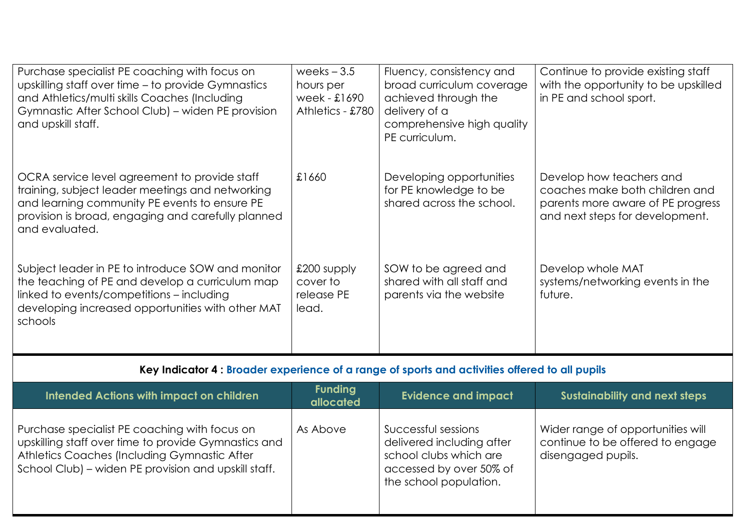| Purchase specialist PE coaching with focus on<br>upskilling staff over time – to provide Gymnastics<br>and Athletics/multi skills Coaches (Including<br>Gymnastic After School Club) – widen PE provision<br>and upskill staff. | weeks $-3.5$<br>hours per<br>week - £1690<br>Athletics - £780 | Fluency, consistency and<br>broad curriculum coverage<br>achieved through the<br>delivery of a<br>comprehensive high quality<br>PE curriculum. | Continue to provide existing staff<br>with the opportunity to be upskilled<br>in PE and school sport.                              |
|---------------------------------------------------------------------------------------------------------------------------------------------------------------------------------------------------------------------------------|---------------------------------------------------------------|------------------------------------------------------------------------------------------------------------------------------------------------|------------------------------------------------------------------------------------------------------------------------------------|
| OCRA service level agreement to provide staff<br>training, subject leader meetings and networking<br>and learning community PE events to ensure PE<br>provision is broad, engaging and carefully planned<br>and evaluated.      | £1660                                                         | Developing opportunities<br>for PE knowledge to be<br>shared across the school.                                                                | Develop how teachers and<br>coaches make both children and<br>parents more aware of PE progress<br>and next steps for development. |
| Subject leader in PE to introduce SOW and monitor<br>the teaching of PE and develop a curriculum map<br>linked to events/competitions – including<br>developing increased opportunities with other MAT<br>schools               | £200 supply<br>cover to<br>release PE<br>lead.                | SOW to be agreed and<br>shared with all staff and<br>parents via the website                                                                   | Develop whole MAT<br>systems/networking events in the<br>future.                                                                   |

## **Key Indicator 4 : Broader experience of a range of sports and activities offered to all pupils**

| <b>Intended Actions with impact on children</b>                                                                                                                                                               | <b>Funding</b><br>allocated | <b>Evidence and impact</b>                                                                                                      | <b>Sustainability and next steps</b>                                                        |
|---------------------------------------------------------------------------------------------------------------------------------------------------------------------------------------------------------------|-----------------------------|---------------------------------------------------------------------------------------------------------------------------------|---------------------------------------------------------------------------------------------|
| Purchase specialist PE coaching with focus on<br>upskilling staff over time to provide Gymnastics and<br>Athletics Coaches (Including Gymnastic After<br>School Club) – widen PE provision and upskill staff. | As Above                    | Successful sessions<br>delivered including after<br>school clubs which are<br>accessed by over 50% of<br>the school population. | Wider range of opportunities will<br>continue to be offered to engage<br>disengaged pupils. |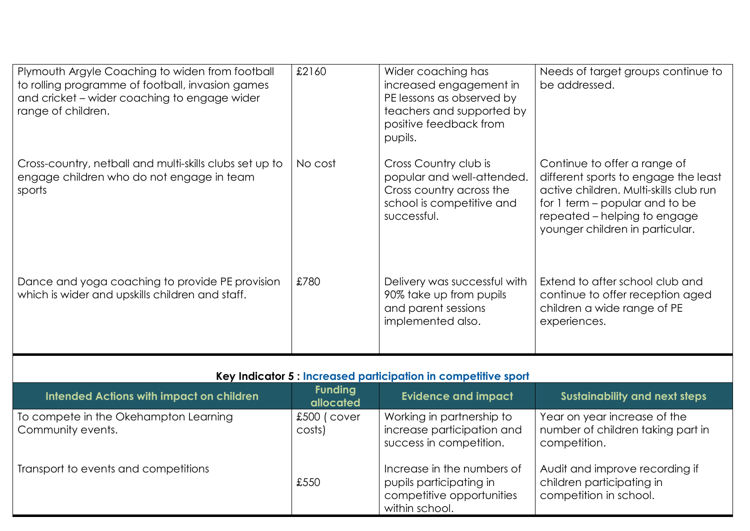| Plymouth Argyle Coaching to widen from football<br>to rolling programme of football, invasion games<br>and cricket – wider coaching to engage wider<br>range of children. | £2160   | Wider coaching has<br>increased engagement in<br>PE lessons as observed by<br>teachers and supported by<br>positive feedback from<br>pupils. | Needs of target groups continue to<br>be addressed.                                                                                                                                                                 |
|---------------------------------------------------------------------------------------------------------------------------------------------------------------------------|---------|----------------------------------------------------------------------------------------------------------------------------------------------|---------------------------------------------------------------------------------------------------------------------------------------------------------------------------------------------------------------------|
| Cross-country, netball and multi-skills clubs set up to<br>engage children who do not engage in team<br>sports                                                            | No cost | Cross Country club is<br>popular and well-attended.<br>Cross country across the<br>school is competitive and<br>successful.                  | Continue to offer a range of<br>different sports to engage the least<br>active children. Multi-skills club run<br>for 1 term – popular and to be<br>repeated – helping to engage<br>younger children in particular. |
| Dance and yoga coaching to provide PE provision<br>which is wider and upskills children and staff.                                                                        | £780    | Delivery was successful with<br>90% take up from pupils<br>and parent sessions<br>implemented also.                                          | Extend to after school club and<br>continue to offer reception aged<br>children a wide range of PE<br>experiences.                                                                                                  |

| Key Indicator 5 : Increased participation in competitive sport |                               |                                                                                                      |                                                                                       |  |
|----------------------------------------------------------------|-------------------------------|------------------------------------------------------------------------------------------------------|---------------------------------------------------------------------------------------|--|
| Intended Actions with impact on children                       | Sustainability and next steps |                                                                                                      |                                                                                       |  |
| To compete in the Okehampton Learning<br>Community events.     | £500 (cover<br>costs)         | Working in partnership to<br>increase participation and<br>success in competition.                   | Year on year increase of the<br>number of children taking part in<br>competition.     |  |
| Transport to events and competitions                           | £550                          | Increase in the numbers of<br>pupils participating in<br>competitive opportunities<br>within school. | Audit and improve recording if<br>children participating in<br>competition in school. |  |